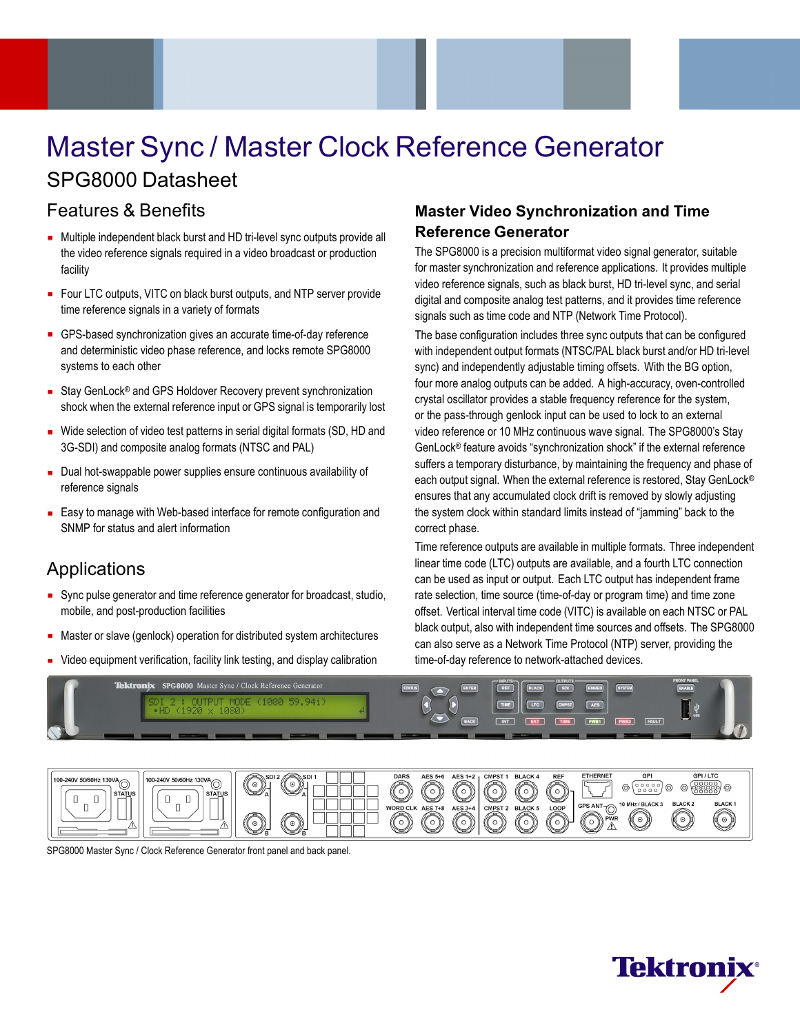# Master Sync / Master Clock Reference Generator SPG8000 Datasheet

# Features & Benefits

- Multiple independent black burst and HD tri-level sync outputs provide all the video reference signals required in a video broadcast or production facility
- Four LTC outputs, VITC on black burst outputs, and NTP server provide time reference signals in a variety of formats
- GPS-based synchronization gives an accurate time-of-day reference and deterministic video phase reference, and locks remote SPG8000 systems to each other
- Stay GenLock<sup>®</sup> and GPS Holdover Recovery prevent synchronization shock when the external reference input or GPS signal is temporarily lost
- Wide selection of video test patterns in serial digital formats (SD, HD and 3G-SDI) and composite analog formats (NTSC and PAL)
- Dual hot-swappable power supplies ensure continuous availability of reference signals
- Easy to manage with Web-based interface for remote configuration and SNMP for status and alert information

# Applications

- Sync pulse generator and time reference generator for broadcast, studio, mobile, and post-production facilities
- **Master or slave (genlock) operation for distributed system architectures**
- Video equipment verification, facility link testing, and display calibration

# **Master Video Synchronization and Time Reference Generator**

The SPG8000 is a precision multiformat video signal generator, suitable for master synchronization and reference applications. It provides multiple video reference signals, such as black burst, HD tri-level sync, and serial digital and composite analog test patterns, and it provides time reference signals such as time code and NTP (Network Time Protocol).

The base configuration includes three sync outputs that can be configured with independent output formats (NTSC/PAL black burst and/or HD tri-level sync) and independently adjustable timing offsets. With the BG option, four more analog outputs can be added. A high-accuracy, oven-controlled crystal oscillator provides a stable frequency reference for the system, or the pass-through genlock input can be used to lock to an external video reference or 10 MHz continuous wave signal. The SPG8000's Stay GenLock® feature avoids "synchronization shock" if the external reference suffers a temporary disturbance, by maintaining the frequency and phase of each output signal. When the external reference is restored, Stay GenLock® ensures that any accumulated clock drift is removed by slowly adjusting the system clock within standard limits instead of "jamming" back to the correct phase.

Time reference outputs are available in multiple formats. Three independent linear time code (LTC) outputs are available, and a fourth LTC connection can be used as input or output. Each LTC output has independent frame rate selection, time source (time-of-day or program time) and time zone offset. Vertical interval time code (VITC) is available on each NTSC or PAL black output, also with independent time sources and offsets. The SPG8000 can also serve as a Network Time Protocol (NTP) server, providing the time-of-day reference to network-attached devices.





SPG8000 Master Sync / Clock Reference Generator front panel and back panel.

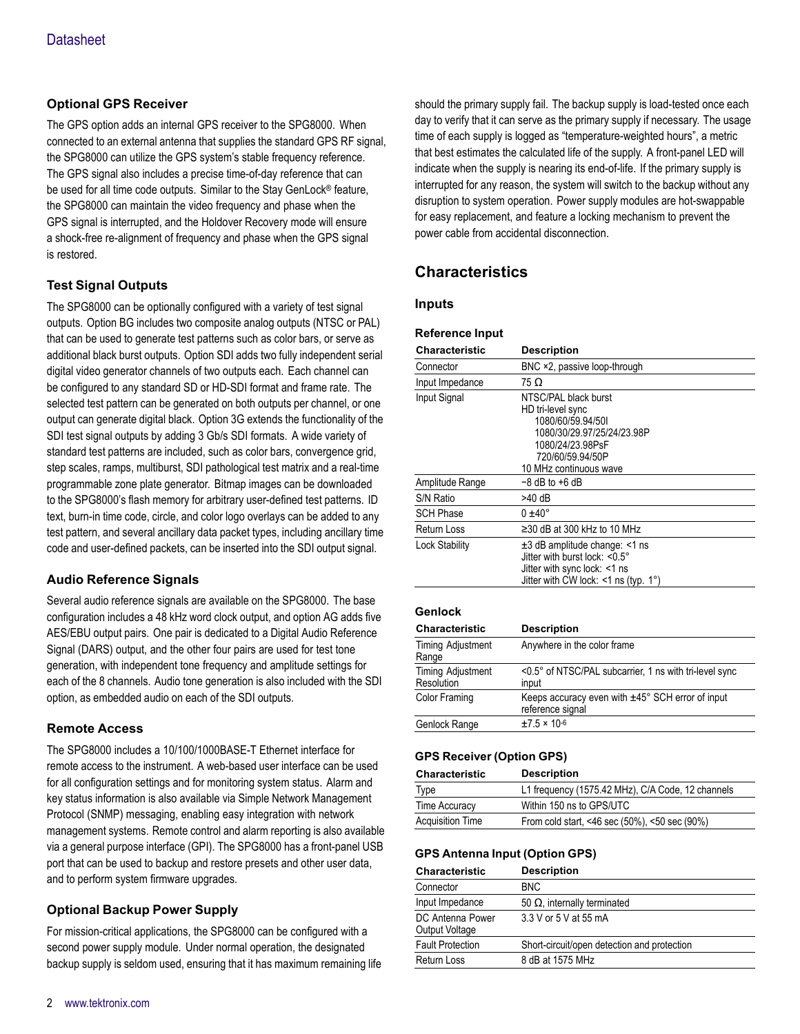# **Optional GPS Receiver**

The GPS option adds an internal GPS receiver to the SPG8000. When connected to an external antenna that supplies the standard GPS RF signal, the SPG8000 can utilize the GPS system's stable frequency reference. The GPS signal also includes a precise time-of-day reference that can be used for all time code outputs. Similar to the Stay GenLock® feature, the SPG8000 can maintain the video frequency and phase when the GPS signal is interrupted, and the Holdover Recovery mode will ensure a shock-free re-alignment of frequency and phase when the GPS signal is restored.

# **Test Signal Outputs**

The SPG8000 can be optionally configured with a variety of test signal outputs. Option BG includes two composite analog outputs (NTSC or PAL) that can be used to generate test patterns such as color bars, or serve as additional black burst outputs. Option SDI adds two fully independent serial digital video generator channels of two outputs each. Each channel can be configured to any standard SD or HD-SDI format and frame rate. The selected test pattern can be generated on both outputs per channel, or one output can generate digital black. Option 3G extends the functionality of the SDI test signal outputs by adding 3 Gb/s SDI formats. A wide variety of standard test patterns are included, such as color bars, convergence grid, step scales, ramps, multiburst, SDI pathological test matrix and a real-time programmable zone plate generator. Bitmap images can be downloaded to the SPG8000's flash memory for arbitrary user-defined test patterns. ID text, burn-in time code, circle, and color logo overlays can be added to any test pattern, and several ancillary data packet types, including ancillary time code and user-defined packets, can be inserted into the SDI output signal.

# **Audio Reference Signals**

Several audio reference signals are available on the SPG8000. The base configuration includes a 48 kHz word clock output, and option AG adds five AES/EBU output pairs. One pair is dedicated to a Digital Audio Reference Signal (DARS) output, and the other four pairs are used for test tone generation, with independent tone frequency and amplitude settings for each of the 8 channels. Audio tone generation is also included with the SDI option, as embedded audio on each of the SDI outputs.

# **Remote Access**

The SPG8000 includes a 10/100/1000BASE-T Ethernet interface for remote access to the instrument. A web-based user interface can be used for all configuration settings and for monitoring system status. Alarm and key status information is also available via Simple Network Management Protocol (SNMP) messaging, enabling easy integration with network management systems. Remote control and alarm reporting is also available via a general purpose interface (GPI). The SPG8000 has a front-panel USB port that can be used to backup and restore presets and other user data, and to perform system firmware upgrades.

# **Optional Backup Power Supply**

For mission-critical applications, the SPG8000 can be configured with a second power supply module. Under normal operation, the designated backup supply is seldom used, ensuring that it has maximum remaining life

should the primary supply fail. The backup supply is load-tested once each day to verify that it can serve as the primary supply if necessary. The usage time of each supply is logged as "temperature-weighted hours", a metric that best estimates the calculated life of the supply. A front-panel LED will indicate when the supply is nearing its end-of-life. If the primary supply is interrupted for any reason, the system will switch to the backup without any disruption to system operation. Power supply modules are hot-swappable for easy replacement, and feature a locking mechanism to prevent the power cable from accidental disconnection.

# **Characteristics**

**Reference Input**

# **Inputs**

| <b>Characteristic</b>            | <b>Description</b>                                                                                                                                             |
|----------------------------------|----------------------------------------------------------------------------------------------------------------------------------------------------------------|
| Connector                        | BNC ×2, passive loop-through                                                                                                                                   |
| Input Impedance                  | 75 Ω                                                                                                                                                           |
| Input Signal                     | NTSC/PAL black burst<br>HD tri-level sync<br>1080/60/59.94/501<br>1080/30/29.97/25/24/23.98P<br>1080/24/23.98PsF<br>720/60/59.94/50P<br>10 MHz continuous wave |
| Amplitude Range                  | $-8$ dB to $+6$ dB                                                                                                                                             |
| S/N Ratio                        | $>40$ dB                                                                                                                                                       |
| <b>SCH Phase</b>                 | $0 \pm 40^{\circ}$                                                                                                                                             |
| Return Loss                      | $\geq$ 30 dB at 300 kHz to 10 MHz                                                                                                                              |
| Lock Stability                   | $\pm 3$ dB amplitude change: <1 ns<br>Jitter with burst lock: <0.5°<br>Jitter with sync lock: <1 ns<br>Jitter with CW lock: $\leq 1$ ns (typ. 1°)              |
| Genlock<br><b>Characteristic</b> | <b>Description</b>                                                                                                                                             |
| Timing Adjustment<br>Range       | Anywhere in the color frame                                                                                                                                    |
| Timing Adjustment<br>Resolution  | <0.5° of NTSC/PAL subcarrier, 1 ns with tri-level sync<br>input                                                                                                |
| <b>Color Framing</b>             | Keeps accuracy even with $\pm 45^{\circ}$ SCH error of input<br>reference signal                                                                               |

# **GPS Receiver (Option GPS)**

Genlock Range  $\pm 7.5 \times 10^{-6}$ 

| <b>Characteristic</b>   | <b>Description</b>                                |
|-------------------------|---------------------------------------------------|
| <b>Type</b>             | L1 frequency (1575.42 MHz), C/A Code, 12 channels |
| Time Accuracy           | Within 150 ns to GPS/UTC                          |
| <b>Acquisition Time</b> | From cold start, <46 sec (50%), <50 sec (90%)     |

# **GPS Antenna Input (Option GPS)**

| Characteristic                     | <b>Description</b>                          |
|------------------------------------|---------------------------------------------|
| Connector                          | <b>BNC</b>                                  |
| Input Impedance                    | 50 $\Omega$ , internally terminated         |
| DC Antenna Power<br>Output Voltage | 3.3 V or 5 V at 55 mA                       |
| <b>Fault Protection</b>            | Short-circuit/open detection and protection |
| <b>Return Loss</b>                 | 8 dB at 1575 MHz                            |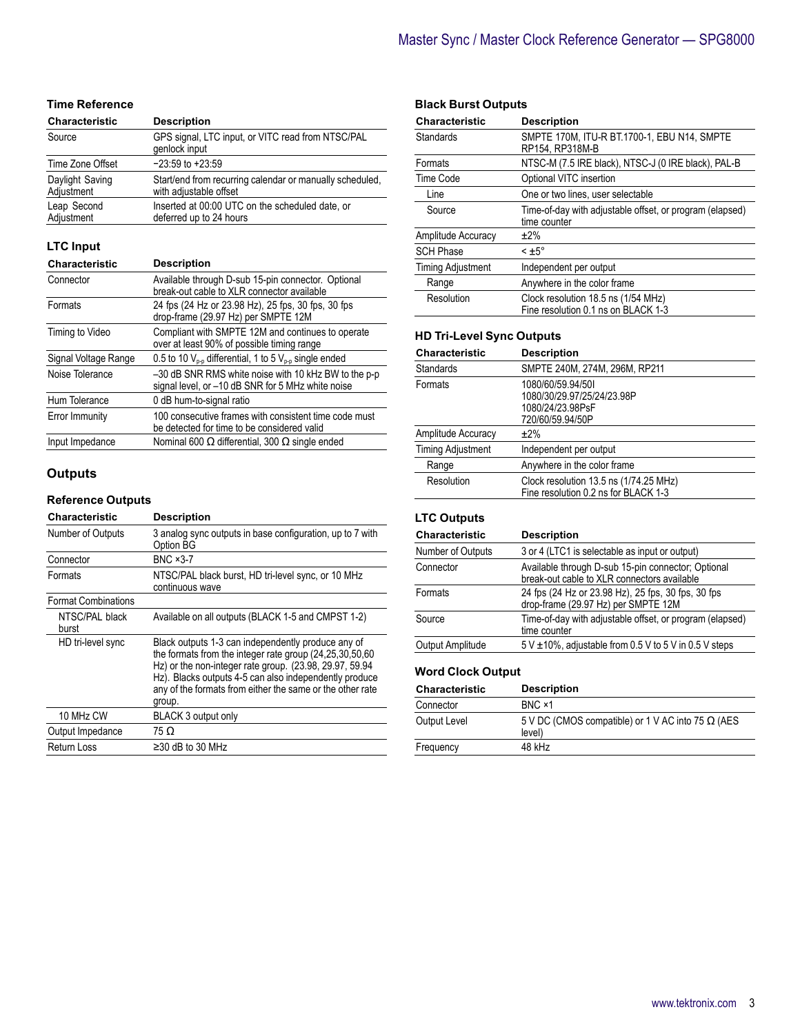# **Time Reference**

| Characteristic                | <b>Description</b>                                                                 |
|-------------------------------|------------------------------------------------------------------------------------|
| Source                        | GPS signal, LTC input, or VITC read from NTSC/PAL<br>genlock input                 |
| Time Zone Offset              | $-23:59$ to $+23:59$                                                               |
| Daylight Saving<br>Adjustment | Start/end from recurring calendar or manually scheduled,<br>with adjustable offset |
| Leap Second<br>Adjustment     | Inserted at 00:00 UTC on the scheduled date, or<br>deferred up to 24 hours         |

# **LTC Input**

| <b>Characteristic</b> | <b>Description</b>                                                                                        |
|-----------------------|-----------------------------------------------------------------------------------------------------------|
| Connector             | Available through D-sub 15-pin connector. Optional<br>break-out cable to XLR connector available          |
| Formats               | 24 fps (24 Hz or 23.98 Hz), 25 fps, 30 fps, 30 fps<br>drop-frame (29.97 Hz) per SMPTE 12M                 |
| Timing to Video       | Compliant with SMPTE 12M and continues to operate<br>over at least 90% of possible timing range           |
| Signal Voltage Range  | 0.5 to 10 $V_{p,p}$ differential, 1 to 5 $V_{p,p}$ single ended                                           |
| Noise Tolerance       | -30 dB SNR RMS white noise with 10 kHz BW to the p-p<br>signal level, or -10 dB SNR for 5 MHz white noise |
| Hum Tolerance         | 0 dB hum-to-signal ratio                                                                                  |
| Error Immunity        | 100 consecutive frames with consistent time code must<br>be detected for time to be considered valid      |
| Input Impedance       | Nominal 600 $\Omega$ differential, 300 $\Omega$ single ended                                              |

# **Outputs**

### **Reference Outputs**

| <b>Characteristic</b>      | <b>Description</b>                                                                                                                                                                                                                                                                                         |
|----------------------------|------------------------------------------------------------------------------------------------------------------------------------------------------------------------------------------------------------------------------------------------------------------------------------------------------------|
| Number of Outputs          | 3 analog sync outputs in base configuration, up to 7 with<br>Option BG                                                                                                                                                                                                                                     |
| Connector                  | <b>BNC ×3-7</b>                                                                                                                                                                                                                                                                                            |
| Formats                    | NTSC/PAL black burst, HD tri-level sync, or 10 MHz<br>continuous wave                                                                                                                                                                                                                                      |
| <b>Format Combinations</b> |                                                                                                                                                                                                                                                                                                            |
| NTSC/PAL black<br>burst    | Available on all outputs (BLACK 1-5 and CMPST 1-2)                                                                                                                                                                                                                                                         |
| HD tri-level sync          | Black outputs 1-3 can independently produce any of<br>the formats from the integer rate group (24,25,30,50,60)<br>Hz) or the non-integer rate group. (23.98, 29.97, 59.94<br>Hz). Blacks outputs 4-5 can also independently produce<br>any of the formats from either the same or the other rate<br>group. |
| 10 MHz CW                  | BLACK 3 output only                                                                                                                                                                                                                                                                                        |
| Output Impedance           | 75 Ω                                                                                                                                                                                                                                                                                                       |
| <b>Return Loss</b>         | $\geq$ 30 dB to 30 MHz                                                                                                                                                                                                                                                                                     |

# **Black Burst Outputs**

| <b>Characteristic</b>    | <b>Description</b>                                                         |
|--------------------------|----------------------------------------------------------------------------|
| Standards                | SMPTE 170M. ITU-R BT.1700-1. EBU N14. SMPTE<br>RP154, RP318M-B             |
| Formats                  | NTSC-M (7.5 IRE black), NTSC-J (0 IRE black), PAL-B                        |
| Time Code                | Optional VITC insertion                                                    |
| Line                     | One or two lines, user selectable                                          |
| Source                   | Time-of-day with adjustable offset, or program (elapsed)<br>time counter   |
| Amplitude Accuracy       | $±2\%$                                                                     |
| <b>SCH Phase</b>         | $\leq$ ±5 $^{\circ}$                                                       |
| <b>Timing Adjustment</b> | Independent per output                                                     |
| Range                    | Anywhere in the color frame                                                |
| Resolution               | Clock resolution 18.5 ns (1/54 MHz)<br>Fine resolution 0.1 ns on BLACK 1-3 |

# **HD Tri-Level Sync Outputs**

| <b>Characteristic</b>    | <b>Description</b>                                                                      |
|--------------------------|-----------------------------------------------------------------------------------------|
| <b>Standards</b>         | SMPTE 240M, 274M, 296M, RP211                                                           |
| Formats                  | 1080/60/59.94/501<br>1080/30/29.97/25/24/23.98P<br>1080/24/23.98PsF<br>720/60/59.94/50P |
| Amplitude Accuracy       | ±2%                                                                                     |
| <b>Timing Adjustment</b> | Independent per output                                                                  |
| Range                    | Anywhere in the color frame                                                             |
| Resolution               | Clock resolution 13.5 ns (1/74.25 MHz)<br>Fine resolution 0.2 ns for BLACK 1-3          |

# **LTC Outputs**

| <b>Characteristic</b> | <b>Description</b>                                                                                |
|-----------------------|---------------------------------------------------------------------------------------------------|
| Number of Outputs     | 3 or 4 (LTC1 is selectable as input or output)                                                    |
| Connector             | Available through D-sub 15-pin connector; Optional<br>break-out cable to XLR connectors available |
| Formats               | 24 fps (24 Hz or 23.98 Hz), 25 fps, 30 fps, 30 fps<br>drop-frame (29.97 Hz) per SMPTE 12M         |
| Source                | Time-of-day with adjustable offset, or program (elapsed)<br>time counter                          |
| Output Amplitude      | $5 \text{ V } \pm 10\%$ , adjustable from 0.5 V to 5 V in 0.5 V steps                             |

# **Word Clock Output**

| Characteristic | <b>Description</b>                                                 |
|----------------|--------------------------------------------------------------------|
| Connector      | BNC ×1                                                             |
| Output Level   | 5 V DC (CMOS compatible) or 1 V AC into 75 $\Omega$ (AES<br>level) |
| Frequency      | 48 kHz                                                             |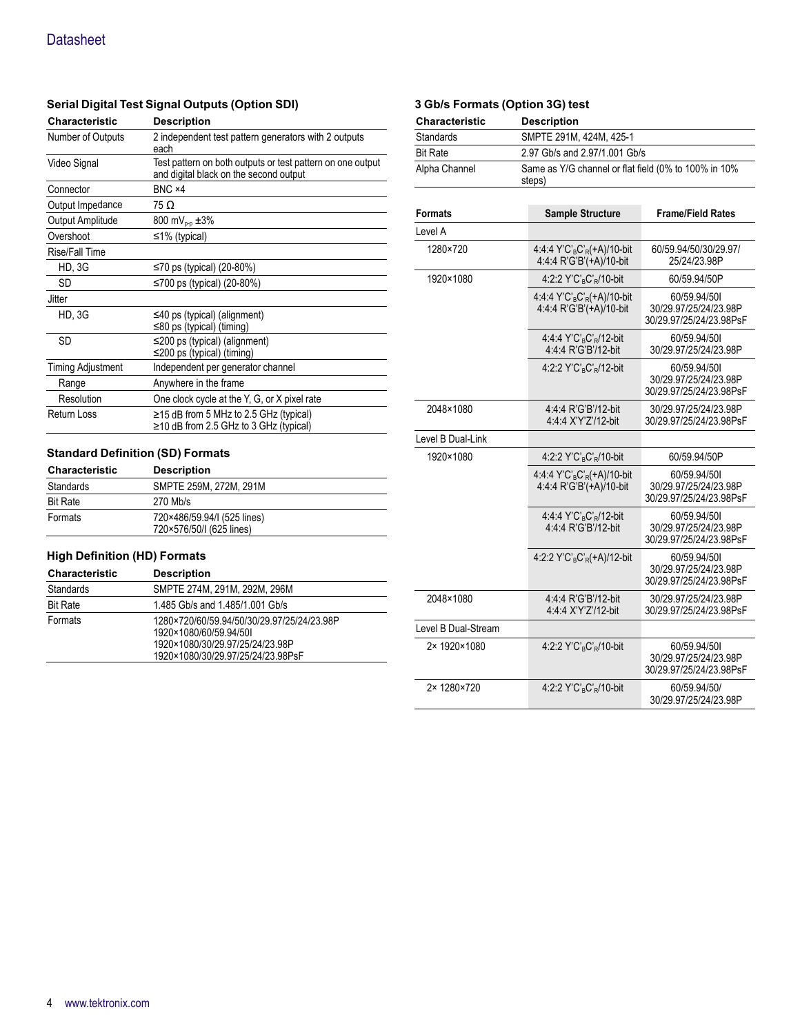# **Serial Digital Test Signal Outputs (Option SDI)**

| Characteristic           | <b>Description</b>                                                                                   |
|--------------------------|------------------------------------------------------------------------------------------------------|
| Number of Outputs        | 2 independent test pattern generators with 2 outputs<br>each                                         |
| Video Signal             | Test pattern on both outputs or test pattern on one output<br>and digital black on the second output |
| Connector                | BNC ×4                                                                                               |
| Output Impedance         | 75 Ω                                                                                                 |
| Output Amplitude         | 800 mV <sub>p-p</sub> $\pm 3\%$                                                                      |
| Overshoot                | $\leq$ 1% (typical)                                                                                  |
| Rise/Fall Time           |                                                                                                      |
| <b>HD, 3G</b>            | ≤70 ps (typical) (20-80%)                                                                            |
| SD                       | ≤700 ps (typical) (20-80%)                                                                           |
| <b>Jitter</b>            |                                                                                                      |
| <b>HD, 3G</b>            | $\leq$ 40 ps (typical) (alignment)<br>≤80 ps (typical) (timing)                                      |
| <b>SD</b>                | $\leq$ 200 ps (typical) (alignment)<br>≤200 ps (typical) (timing)                                    |
| <b>Timing Adjustment</b> | Independent per generator channel                                                                    |
| Range                    | Anywhere in the frame                                                                                |
| Resolution               | One clock cycle at the Y, G, or X pixel rate                                                         |
| <b>Return Loss</b>       | $\ge$ 15 dB from 5 MHz to 2.5 GHz (typical)<br>$\geq$ 10 dB from 2.5 GHz to 3 GHz (typical)          |

# **Standard Definition (SD) Formats**

| <b>Characteristic</b> | <b>Description</b>                                      |
|-----------------------|---------------------------------------------------------|
| Standards             | SMPTE 259M, 272M, 291M                                  |
| <b>Bit Rate</b>       | 270 Mb/s                                                |
| Formats               | 720×486/59.94/I (525 lines)<br>720×576/50/I (625 lines) |

# **High Definition (HD) Formats**

| <b>Characteristic</b> | <b>Description</b>                                                                                                                           |
|-----------------------|----------------------------------------------------------------------------------------------------------------------------------------------|
| Standards             | SMPTE 274M, 291M, 292M, 296M                                                                                                                 |
| <b>Bit Rate</b>       | 1.485 Gb/s and 1.485/1.001 Gb/s                                                                                                              |
| Formats               | 1280×720/60/59.94/50/30/29.97/25/24/23.98P<br>1920×1080/60/59.94/50L<br>1920×1080/30/29.97/25/24/23.98P<br>1920×1080/30/29.97/25/24/23.98PsF |

# **3 Gb/s Formats (Option 3G) test**

| <b>Characteristic</b> | <b>Description</b>                                             |
|-----------------------|----------------------------------------------------------------|
| Standards             | SMPTE 291M, 424M, 425-1                                        |
| <b>Bit Rate</b>       | 2.97 Gb/s and 2.97/1.001 Gb/s                                  |
| Alpha Channel         | Same as Y/G channel or flat field (0% to 100% in 10%<br>steps) |

| <b>Formats</b>      | <b>Sample Structure</b>                                                           | <b>Frame/Field Rates</b>                                         |
|---------------------|-----------------------------------------------------------------------------------|------------------------------------------------------------------|
| Level A             |                                                                                   |                                                                  |
| 1280×720            | 4:4:4 Y'C' <sub>B</sub> C' <sub>R</sub> (+A)/10-bit<br>4:4:4 R'G'B'(+A)/10-bit    | 60/59.94/50/30/29.97/<br>25/24/23.98P                            |
| 1920×1080           | 4:2:2 Y'C' <sub>R</sub> C' <sub>R</sub> /10-bit                                   | 60/59.94/50P                                                     |
|                     | 4:4:4 Y'C' <sub>B</sub> C' <sub>R</sub> $(+A)/10$ -bit<br>4:4:4 R'G'B'(+A)/10-bit | 60/59.94/501<br>30/29.97/25/24/23.98P<br>30/29.97/25/24/23.98PsF |
|                     | $4:4:4$ Y'C' <sub>R</sub> C' <sub>R</sub> /12-bit<br>4:4:4 R'G'B'/12-bit          | 60/59.94/501<br>30/29.97/25/24/23.98P                            |
|                     | 4:2:2 Y'C' <sub>R</sub> C' <sub>R</sub> /12-bit                                   | 60/59.94/501<br>30/29.97/25/24/23.98P<br>30/29.97/25/24/23.98PsF |
| 2048×1080           | 4:4:4 R'G'B'/12-bit<br>4:4:4 X'Y'Z'/12-bit                                        | 30/29.97/25/24/23.98P<br>30/29.97/25/24/23.98PsF                 |
| Level B Dual-Link   |                                                                                   |                                                                  |
| 1920×1080           | 4:2:2 Y'C' <sub>B</sub> C' <sub>R</sub> /10-bit                                   | 60/59.94/50P                                                     |
|                     | 4:4:4 Y'C' <sub>B</sub> C' <sub>R</sub> (+A)/10-bit<br>4:4:4 R'G'B'(+A)/10-bit    | 60/59.94/501<br>30/29.97/25/24/23.98P<br>30/29.97/25/24/23.98PsF |
|                     | 4:4:4 Y'C'RC'R/12-bit<br>4:4:4 R'G'B'/12-bit                                      | 60/59.94/501<br>30/29.97/25/24/23.98P<br>30/29.97/25/24/23.98PsF |
|                     | 4:2:2 Y'C' <sub>B</sub> C' <sub>R</sub> $(+A)/12$ -bit                            | 60/59.94/501<br>30/29.97/25/24/23.98P<br>30/29.97/25/24/23.98PsF |
| 2048×1080           | 4:4:4 R'G'B'/12-bit<br>4:4:4 X'Y'Z'/12-bit                                        | 30/29.97/25/24/23.98P<br>30/29.97/25/24/23.98PsF                 |
| Level B Dual-Stream |                                                                                   |                                                                  |
| 2× 1920×1080        | 4:2:2 Y'C' <sub>R</sub> C' <sub>R</sub> /10-bit                                   | 60/59.94/501<br>30/29.97/25/24/23.98P<br>30/29.97/25/24/23.98PsF |
| 2×1280×720          | $4:2:2$ Y'C' <sub>R</sub> C' <sub>R</sub> /10-bit                                 | 60/59.94/50/<br>30/29.97/25/24/23.98P                            |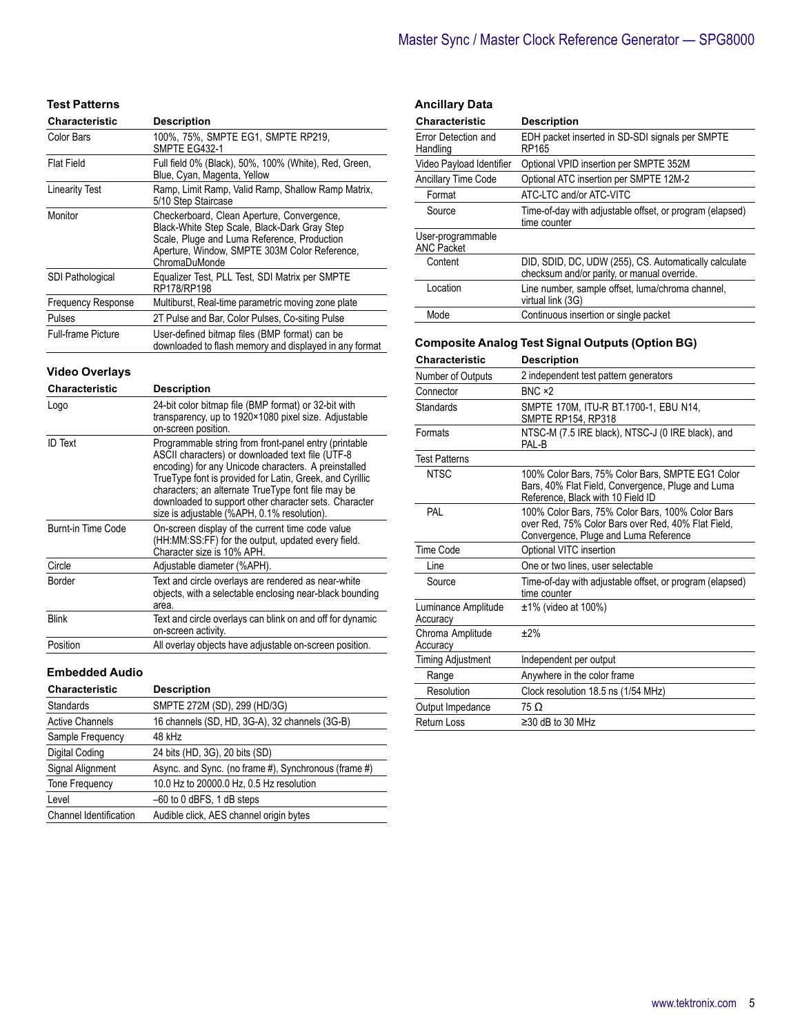| <b>Test Patterns</b>      |                                                                                                                                                                                                             |
|---------------------------|-------------------------------------------------------------------------------------------------------------------------------------------------------------------------------------------------------------|
| <b>Characteristic</b>     | <b>Description</b>                                                                                                                                                                                          |
| Color Bars                | 100%, 75%, SMPTE EG1, SMPTE RP219,<br>SMPTE EG432-1                                                                                                                                                         |
| <b>Flat Field</b>         | Full field 0% (Black), 50%, 100% (White), Red, Green,<br>Blue, Cyan, Magenta, Yellow                                                                                                                        |
| <b>Linearity Test</b>     | Ramp, Limit Ramp, Valid Ramp, Shallow Ramp Matrix,<br>5/10 Step Staircase                                                                                                                                   |
| Monitor                   | Checkerboard, Clean Aperture, Convergence,<br>Black-White Step Scale, Black-Dark Gray Step<br>Scale, Pluge and Luma Reference, Production<br>Aperture, Window, SMPTE 303M Color Reference,<br>ChromaDuMonde |
| <b>SDI Pathological</b>   | Equalizer Test, PLL Test, SDI Matrix per SMPTE<br>RP178/RP198                                                                                                                                               |
| <b>Frequency Response</b> | Multiburst, Real-time parametric moving zone plate                                                                                                                                                          |
| Pulses                    | 2T Pulse and Bar, Color Pulses, Co-siting Pulse                                                                                                                                                             |
| <b>Full-frame Picture</b> | User-defined bitmap files (BMP format) can be<br>downloaded to flash memory and displayed in any format                                                                                                     |

# **Video Overlays**

| Characteristic     | <b>Description</b>                                                                                                                                                                                                                                                                                                                                                                          |
|--------------------|---------------------------------------------------------------------------------------------------------------------------------------------------------------------------------------------------------------------------------------------------------------------------------------------------------------------------------------------------------------------------------------------|
| Logo               | 24-bit color bitmap file (BMP format) or 32-bit with<br>transparency, up to 1920×1080 pixel size. Adjustable<br>on-screen position.                                                                                                                                                                                                                                                         |
| <b>ID</b> Text     | Programmable string from front-panel entry (printable<br>ASCII characters) or downloaded text file (UTF-8<br>encoding) for any Unicode characters. A preinstalled<br>TrueType font is provided for Latin, Greek, and Cyrillic<br>characters; an alternate TrueType font file may be<br>downloaded to support other character sets. Character<br>size is adjustable (%APH, 0.1% resolution). |
| Burnt-in Time Code | On-screen display of the current time code value<br>(HH:MM:SS:FF) for the output, updated every field.<br>Character size is 10% APH.                                                                                                                                                                                                                                                        |
| Circle             | Adjustable diameter (%APH).                                                                                                                                                                                                                                                                                                                                                                 |
| Border             | Text and circle overlays are rendered as near-white<br>objects, with a selectable enclosing near-black bounding<br>area.                                                                                                                                                                                                                                                                    |
| <b>Blink</b>       | Text and circle overlays can blink on and off for dynamic<br>on-screen activity.                                                                                                                                                                                                                                                                                                            |
| Position           | All overlay objects have adjustable on-screen position.                                                                                                                                                                                                                                                                                                                                     |

# **Embedded Audio**

| <b>Characteristic</b>         | <b>Description</b>                                   |
|-------------------------------|------------------------------------------------------|
| Standards                     | SMPTE 272M (SD), 299 (HD/3G)                         |
| <b>Active Channels</b>        | 16 channels (SD, HD, 3G-A), 32 channels (3G-B)       |
| Sample Frequency              | 48 kHz                                               |
| Digital Coding                | 24 bits (HD, 3G), 20 bits (SD)                       |
| Signal Alignment              | Async. and Sync. (no frame #), Synchronous (frame #) |
| <b>Tone Frequency</b>         | 10.0 Hz to 20000.0 Hz, 0.5 Hz resolution             |
| Level                         | $-60$ to 0 dBFS, 1 dB steps                          |
| <b>Channel Identification</b> | Audible click, AES channel origin bytes              |
|                               |                                                      |

| <b>Ancillary Data</b>                  |                                                                                                                                                 |
|----------------------------------------|-------------------------------------------------------------------------------------------------------------------------------------------------|
| <b>Characteristic</b>                  | <b>Description</b>                                                                                                                              |
| Error Detection and<br>Handling        | EDH packet inserted in SD-SDI signals per SMPTE<br><b>RP165</b>                                                                                 |
| Video Payload Identifier               | Optional VPID insertion per SMPTE 352M                                                                                                          |
| Ancillary Time Code                    | Optional ATC insertion per SMPTE 12M-2                                                                                                          |
| Format                                 | ATC-LTC and/or ATC-VITC                                                                                                                         |
| Source                                 | Time-of-day with adjustable offset, or program (elapsed)<br>time counter                                                                        |
| User-programmable<br><b>ANC Packet</b> |                                                                                                                                                 |
| Content                                | DID, SDID, DC, UDW (255), CS. Automatically calculate<br>checksum and/or parity, or manual override.                                            |
| Location                               | Line number, sample offset, luma/chroma channel,<br>virtual link (3G)                                                                           |
| Mode                                   | Continuous insertion or single packet                                                                                                           |
|                                        |                                                                                                                                                 |
|                                        | <b>Composite Analog Test Signal Outputs (Option BG)</b>                                                                                         |
| <b>Characteristic</b>                  | <b>Description</b>                                                                                                                              |
| Number of Outputs                      | 2 independent test pattern generators                                                                                                           |
| Connector                              | BNC ×2                                                                                                                                          |
| <b>Standards</b>                       | SMPTE 170M, ITU-R BT.1700-1, EBU N14,<br>SMPTE RP154, RP318                                                                                     |
| Formats                                | NTSC-M (7.5 IRE black), NTSC-J (0 IRE black), and<br>PAL-B                                                                                      |
| <b>Test Patterns</b>                   |                                                                                                                                                 |
| <b>NTSC</b>                            | 100% Color Bars, 75% Color Bars, SMPTE EG1 Color<br>Bars, 40% Flat Field, Convergence, Pluge and Luma<br>Reference, Black with 10 Field ID      |
| PAL                                    | 100% Color Bars, 75% Color Bars, 100% Color Bars<br>over Red, 75% Color Bars over Red, 40% Flat Field,<br>Convergence, Pluge and Luma Reference |
| Time Code                              | Optional VITC insertion                                                                                                                         |
| Line                                   | One or two lines, user selectable                                                                                                               |
| Source                                 | Time-of-day with adjustable offset, or program (elapsed)<br>time counter                                                                        |
| Luminance Amplitude<br>Accuracy        | $±1\%$ (video at 100%)                                                                                                                          |
| Chroma Amplitude<br>Accuracy           | ±2%                                                                                                                                             |
| <b>Timing Adjustment</b>               | Independent per output                                                                                                                          |
| Range                                  | Anywhere in the color frame                                                                                                                     |
| Resolution                             | Clock resolution 18.5 ns (1/54 MHz)                                                                                                             |
| Output Impedance                       | 75 Ω                                                                                                                                            |
| <b>Return Loss</b>                     | $\geq$ 30 dB to 30 MHz                                                                                                                          |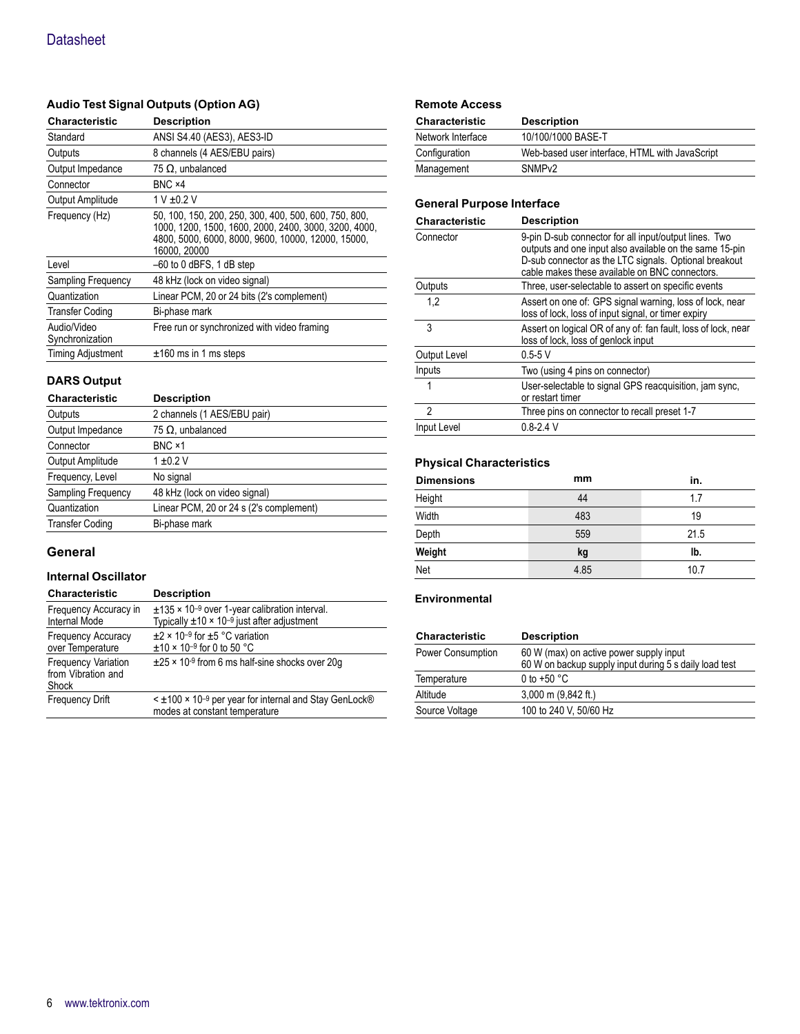# **Audio Test Signal Outputs (Option AG)**

| <b>Characteristic</b>          | <b>Description</b>                                                                                                                                                                   |
|--------------------------------|--------------------------------------------------------------------------------------------------------------------------------------------------------------------------------------|
| Standard                       | ANSI S4.40 (AES3), AES3-ID                                                                                                                                                           |
| Outputs                        | 8 channels (4 AES/EBU pairs)                                                                                                                                                         |
| Output Impedance               | $75 \Omega$ , unbalanced                                                                                                                                                             |
| Connector                      | BNC ×4                                                                                                                                                                               |
| Output Amplitude               | 1 V ±0.2 V                                                                                                                                                                           |
| Frequency (Hz)                 | 50, 100, 150, 200, 250, 300, 400, 500, 600, 750, 800,<br>1000, 1200, 1500, 1600, 2000, 2400, 3000, 3200, 4000,<br>4800, 5000, 6000, 8000, 9600, 10000, 12000, 15000,<br>16000. 20000 |
| Level                          | $-60$ to 0 dBFS, 1 dB step                                                                                                                                                           |
| Sampling Frequency             | 48 kHz (lock on video signal)                                                                                                                                                        |
| Quantization                   | Linear PCM, 20 or 24 bits (2's complement)                                                                                                                                           |
| <b>Transfer Coding</b>         | Bi-phase mark                                                                                                                                                                        |
| Audio/Video<br>Synchronization | Free run or synchronized with video framing                                                                                                                                          |
| <b>Timing Adjustment</b>       | $±160$ ms in 1 ms steps                                                                                                                                                              |

# **DARS Output**

| <b>Characteristic</b>  | <b>Description</b>                      |
|------------------------|-----------------------------------------|
| Outputs                | 2 channels (1 AES/EBU pair)             |
| Output Impedance       | $75 \Omega$ , unbalanced                |
| Connector              | BNC ×1                                  |
| Output Amplitude       | $1 + 0.2$ V                             |
| Frequency, Level       | No signal                               |
| Sampling Frequency     | 48 kHz (lock on video signal)           |
| Quantization           | Linear PCM, 20 or 24 s (2's complement) |
| <b>Transfer Coding</b> | Bi-phase mark                           |

# **General**

#### **Internal Oscillator**

| Characteristic                                            | <b>Description</b>                                                                                                        |
|-----------------------------------------------------------|---------------------------------------------------------------------------------------------------------------------------|
| Frequency Accuracy in<br><b>Internal Mode</b>             | $\pm$ 135 × 10 <sup>-9</sup> over 1-year calibration interval.<br>Typically $\pm 10 \times 10^{-9}$ just after adjustment |
| Frequency Accuracy<br>over Temperature                    | $\pm$ 2 × 10 <sup>-9</sup> for $\pm$ 5 °C variation<br>$\pm$ 10 × 10 <sup>-9</sup> for 0 to 50 °C                         |
| <b>Frequency Variation</b><br>from Vibration and<br>Shock | $\pm$ 25 × 10-9 from 6 ms half-sine shocks over 20q                                                                       |
| <b>Frequency Drift</b>                                    | $\leq$ ±100 $\times$ 10 <sup>-9</sup> per year for internal and Stay GenLock®<br>modes at constant temperature            |

| <b>Remote Access</b>  |                                                |
|-----------------------|------------------------------------------------|
| <b>Characteristic</b> | <b>Description</b>                             |
| Network Interface     | 10/100/1000 BASE-T                             |
| Configuration         | Web-based user interface, HTML with JavaScript |
| Management            | SNMP <sub>v2</sub>                             |
|                       |                                                |

# **General Purpose Interface**

| <b>Characteristic</b> | <b>Description</b>                                                                                                                                                                                                          |
|-----------------------|-----------------------------------------------------------------------------------------------------------------------------------------------------------------------------------------------------------------------------|
| Connector             | 9-pin D-sub connector for all input/output lines. Two<br>outputs and one input also available on the same 15-pin<br>D-sub connector as the LTC signals. Optional breakout<br>cable makes these available on BNC connectors. |
| Outputs               | Three, user-selectable to assert on specific events                                                                                                                                                                         |
| 1,2                   | Assert on one of: GPS signal warning, loss of lock, near<br>loss of lock, loss of input signal, or timer expiry                                                                                                             |
| 3                     | Assert on logical OR of any of: fan fault, loss of lock, near<br>loss of lock, loss of genlock input                                                                                                                        |
| Output Level          | $0.5 - 5V$                                                                                                                                                                                                                  |
| Inputs                | Two (using 4 pins on connector)                                                                                                                                                                                             |
|                       | User-selectable to signal GPS reacquisition, jam sync,<br>or restart timer                                                                                                                                                  |
| $\mathfrak{p}$        | Three pins on connector to recall preset 1-7                                                                                                                                                                                |
| Input Level           | $0.8 - 2.4$ V                                                                                                                                                                                                               |

# **Physical Characteristics**

| <b>Dimensions</b> | mm   | in.  |
|-------------------|------|------|
| Height            | 44   | 1.7  |
| Width             | 483  | 19   |
| Depth             | 559  | 21.5 |
| Weight            | kg   | Ib.  |
| Net               | 4.85 | 10.7 |

# **Environmental**

| <b>Characteristic</b>    | <b>Description</b>                                                                                |
|--------------------------|---------------------------------------------------------------------------------------------------|
| <b>Power Consumption</b> | 60 W (max) on active power supply input<br>60 W on backup supply input during 5 s daily load test |
| Temperature              | 0 to +50 $^{\circ}$ C                                                                             |
| Altitude                 | $3,000$ m $(9,842$ ft.)                                                                           |
| Source Voltage           | 100 to 240 V, 50/60 Hz                                                                            |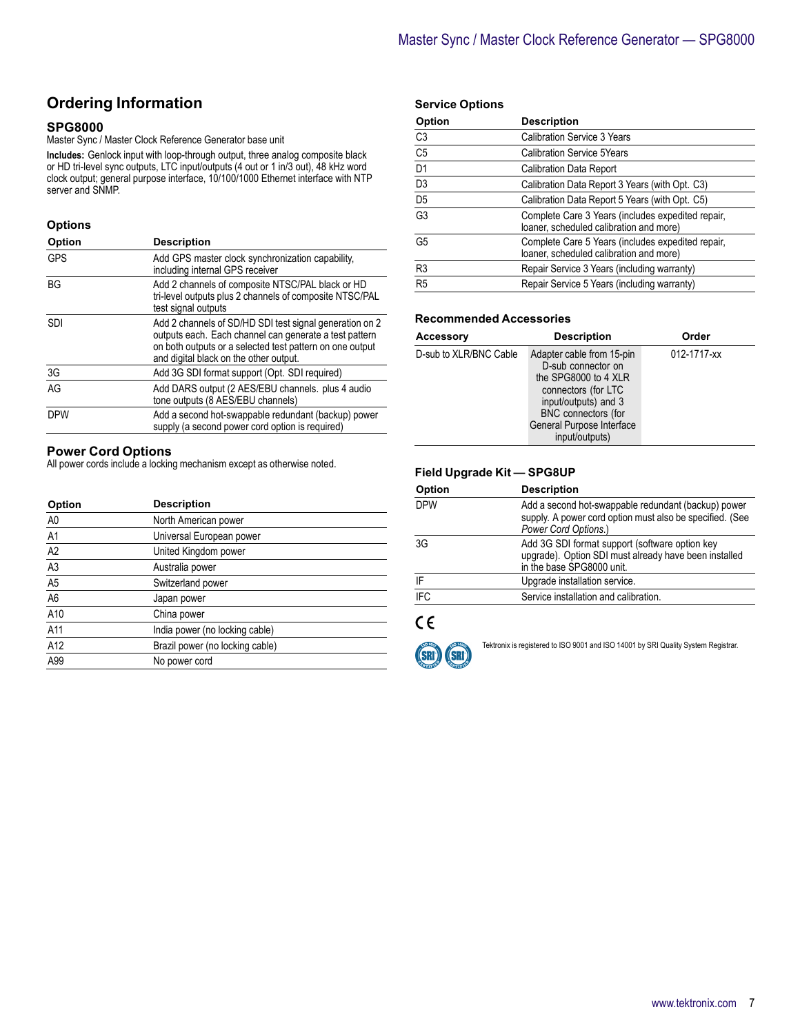# **Ordering Information**

#### **SPG8000**

Master Sync / Master Clock Reference Generator base unit

**Includes:** Genlock input with loop-through output, three analog composite black or HD tri-level sync outputs, LTC input/outputs (4 out or 1 in/3 out), 48 kHz word clock output; general purpose interface, 10/100/1000 Ethernet interface with NTP server and SNMP.

#### **Options**

| Option     | <b>Description</b>                                                                                                                                                                                                      |
|------------|-------------------------------------------------------------------------------------------------------------------------------------------------------------------------------------------------------------------------|
| <b>GPS</b> | Add GPS master clock synchronization capability,<br>including internal GPS receiver                                                                                                                                     |
| <b>BG</b>  | Add 2 channels of composite NTSC/PAL black or HD<br>tri-level outputs plus 2 channels of composite NTSC/PAL<br>test signal outputs                                                                                      |
| <b>SDI</b> | Add 2 channels of SD/HD SDI test signal generation on 2<br>outputs each. Each channel can generate a test pattern<br>on both outputs or a selected test pattern on one output<br>and digital black on the other output. |
| 3G         | Add 3G SDI format support (Opt. SDI required)                                                                                                                                                                           |
| AG         | Add DARS output (2 AES/EBU channels. plus 4 audio<br>tone outputs (8 AES/EBU channels)                                                                                                                                  |
| <b>DPW</b> | Add a second hot-swappable redundant (backup) power<br>supply (a second power cord option is required)                                                                                                                  |

#### **Power Cord Options**

All power cords include a locking mechanism except as otherwise noted.

| Option         | <b>Description</b>              |  |
|----------------|---------------------------------|--|
| A <sub>0</sub> | North American power            |  |
| A <sub>1</sub> | Universal European power        |  |
| A <sub>2</sub> | United Kingdom power            |  |
| A <sub>3</sub> | Australia power                 |  |
| A <sub>5</sub> | Switzerland power               |  |
| A <sub>6</sub> | Japan power                     |  |
| A10            | China power                     |  |
| A11            | India power (no locking cable)  |  |
| A12            | Brazil power (no locking cable) |  |
| A99            | No power cord                   |  |

#### **Service Options**

| Option          | <b>Description</b>                                                                           |
|-----------------|----------------------------------------------------------------------------------------------|
| C <sub>3</sub>  | <b>Calibration Service 3 Years</b>                                                           |
| C <sub>5</sub>  | <b>Calibration Service 5Years</b>                                                            |
| $\overline{D1}$ | <b>Calibration Data Report</b>                                                               |
| D <sub>3</sub>  | Calibration Data Report 3 Years (with Opt. C3)                                               |
| $\overline{D5}$ | Calibration Data Report 5 Years (with Opt. C5)                                               |
| G <sub>3</sub>  | Complete Care 3 Years (includes expedited repair,<br>loaner, scheduled calibration and more) |
| G5              | Complete Care 5 Years (includes expedited repair,<br>loaner, scheduled calibration and more) |
| R <sub>3</sub>  | Repair Service 3 Years (including warranty)                                                  |
| R5              | Repair Service 5 Years (including warranty)                                                  |

### **Recommended Accessories**

| <b>Accessory</b>       | <b>Description</b>                                                                                                                                                                           | Order       |
|------------------------|----------------------------------------------------------------------------------------------------------------------------------------------------------------------------------------------|-------------|
| D-sub to XLR/BNC Cable | Adapter cable from 15-pin<br>D-sub connector on<br>the SPG8000 to 4 XLR<br>connectors (for LTC<br>input/outputs) and 3<br>BNC connectors (for<br>General Purpose Interface<br>input/outputs) | 012-1717-xx |

# **Field Upgrade Kit — SPG8UP**

| Option     | <b>Description</b>                                                                                                                      |
|------------|-----------------------------------------------------------------------------------------------------------------------------------------|
| <b>DPW</b> | Add a second hot-swappable redundant (backup) power<br>supply. A power cord option must also be specified. (See<br>Power Cord Options.) |
| 3G         | Add 3G SDI format support (software option key<br>upgrade). Option SDI must already have been installed<br>in the base SPG8000 unit.    |
| IF         | Upgrade installation service.                                                                                                           |
| <b>IFC</b> | Service installation and calibration.                                                                                                   |
|            |                                                                                                                                         |

# $C \in$



Tektronix is registered to ISO 9001 and ISO 14001 by SRI Quality System Registrar.